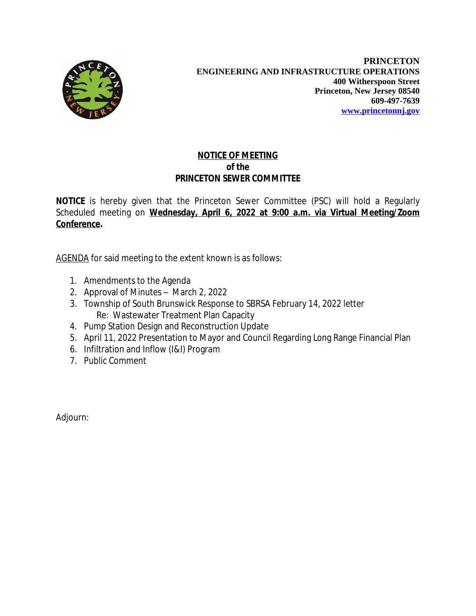

## **NOTICE OF MEETING** *of the* **PRINCETON SEWER COMMITTEE**

**NOTICE** is hereby given that the Princeton Sewer Committee (PSC) will hold a Regularly Scheduled meeting on **Wednesday, April 6, 2022 at 9:00 a.m. via Virtual Meeting/Zoom Conference.**

AGENDA for said meeting to the extent known is as follows:

- 1. Amendments to the Agenda
- 2. Approval of Minutes March 2, 2022
- 3. Township of South Brunswick Response to SBRSA February 14, 2022 letter Re: Wastewater Treatment Plan Capacity
- 4. Pump Station Design and Reconstruction Update
- 5. April 11, 2022 Presentation to Mayor and Council Regarding Long Range Financial Plan
- 6. Infiltration and Inflow (I&I) Program
- 7. Public Comment

Adjourn: